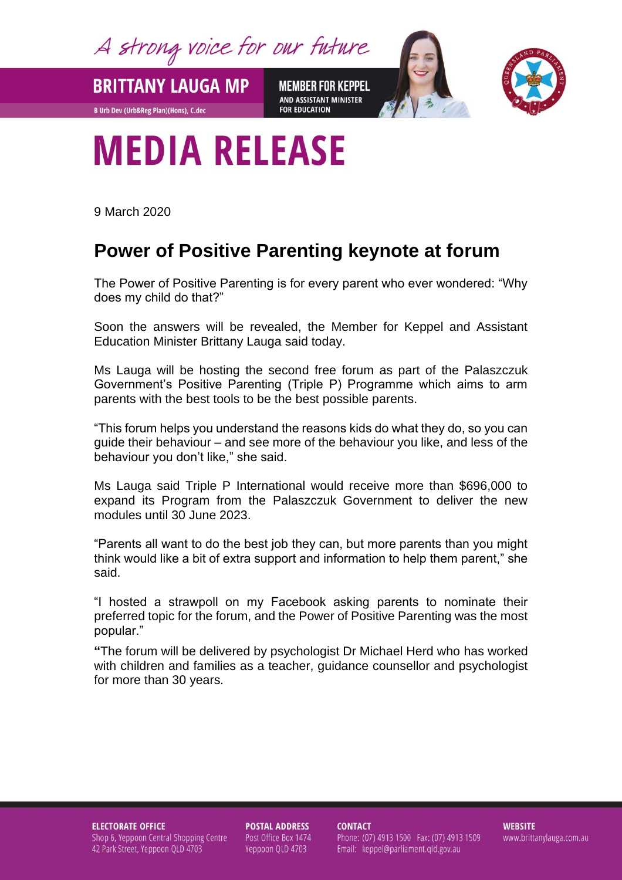A strong voice for our future

**BRITTANY LAUGA MP** 

**B Urb Dev (Urb&Reg Plan)(Hons), C.dec** 

**MEMBER FOR KEPPEL** AND ASSISTANT MINISTER **FOR EDUCATION** 



## **MEDIA RELEASE**

9 March 2020

## **Power of Positive Parenting keynote at forum**

The Power of Positive Parenting is for every parent who ever wondered: "Why does my child do that?"

Soon the answers will be revealed, the Member for Keppel and Assistant Education Minister Brittany Lauga said today.

Ms Lauga will be hosting the second free forum as part of the Palaszczuk Government's Positive Parenting (Triple P) Programme which aims to arm parents with the best tools to be the best possible parents.

"This forum helps you understand the reasons kids do what they do, so you can guide their behaviour – and see more of the behaviour you like, and less of the behaviour you don't like," she said.

Ms Lauga said Triple P International would receive more than \$696,000 to expand its Program from the Palaszczuk Government to deliver the new modules until 30 June 2023.

"Parents all want to do the best job they can, but more parents than you might think would like a bit of extra support and information to help them parent," she said.

"I hosted a strawpoll on my Facebook asking parents to nominate their preferred topic for the forum, and the Power of Positive Parenting was the most popular."

**"**The forum will be delivered by psychologist Dr Michael Herd who has worked with children and families as a teacher, guidance counsellor and psychologist for more than 30 years.

**ELECTORATE OFFICE** Shop 6, Yeppoon Central Shopping Centre 42 Park Street, Yeppoon QLD 4703

**POSTAL ADDRESS** Post Office Box 1474 Yeppoon QLD 4703

**CONTACT** Phone: (07) 4913 1500 Fax: (07) 4913 1509 Email: keppel@parliament.qld.gov.au

**WEBSITE** www.brittanylauga.com.au